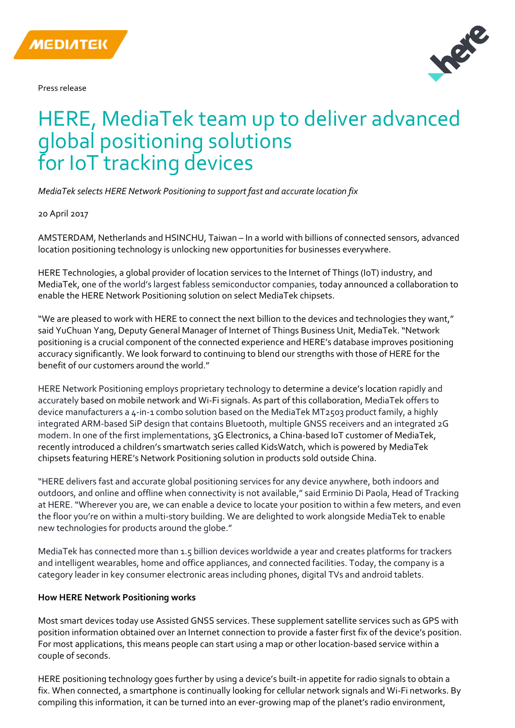

Press release



# **11** for IoT tracking devices HERE, MediaTek team up to deliver advanced global positioning solutions

*MediaTek selects HERE Network Positioning to support fast and accurate location fix*

20 April 2017

AMSTERDAM, Netherlands and HSINCHU, Taiwan – In a world with billions of connected sensors, advanced location positioning technology is unlocking new opportunities for businesses everywhere.

HERE Technologies, a global provider of location services to the Internet of Things (IoT) industry, and MediaTek, one of the world's largest fabless semiconductor companies, today announced a collaboration to enable the HERE Network Positioning solution on select MediaTek chipsets.

"We are pleased to work with HERE to connect the next billion to the devices and technologies they want," said YuChuan Yang, Deputy General Manager of Internet of Things Business Unit, MediaTek. "Network positioning is a crucial component of the connected experience and HERE's database improves positioning accuracy significantly. We look forward to continuing to blend our strengths with those of HERE for the benefit of our customers around the world."

HERE Network Positioning employs proprietary technology to determine a device's location rapidly and accurately based on mobile network and Wi-Fi signals. As part of this collaboration, MediaTek offers to device manufacturers a 4-in-1 combo solution based on the MediaTek MT2503 product family, a highly integrated ARM-based SiP design that contains Bluetooth, multiple GNSS receivers and an integrated 2G modem. In one of the first implementations, 3G Electronics, a China-based IoT customer of MediaTek, recently introduced a children's smartwatch series called KidsWatch, which is powered by MediaTek chipsets featuring HERE's Network Positioning solution in products sold outside China.

"HERE delivers fast and accurate global positioning services for any device anywhere, both indoors and outdoors, and online and offline when connectivity is not available," said Erminio Di Paola, Head of Tracking at HERE. "Wherever you are, we can enable a device to locate your position to within a few meters, and even the floor you're on within a multi-story building. We are delighted to work alongside MediaTek to enable new technologies for products around the globe."

MediaTek has connected more than 1.5 billion devices worldwide a year and creates platforms for trackers and intelligent wearables, home and office appliances, and connected facilities. Today, the company is a category leader in key consumer electronic areas including phones, digital TVs and android tablets.

#### **How HERE Network Positioning works**

Most smart devices today use Assisted GNSS services. These supplement satellite services such as GPS with position information obtained over an Internet connection to provide a faster first fix of the device's position. For most applications, this means people can start using a map or other location-based service within a couple of seconds.

HERE positioning technology goes further by using a device's built-in appetite for radio signals to obtain a fix. When connected, a smartphone is continually looking for cellular network signals and Wi-Fi networks. By compiling this information, it can be turned into an ever-growing map of the planet's radio environment,